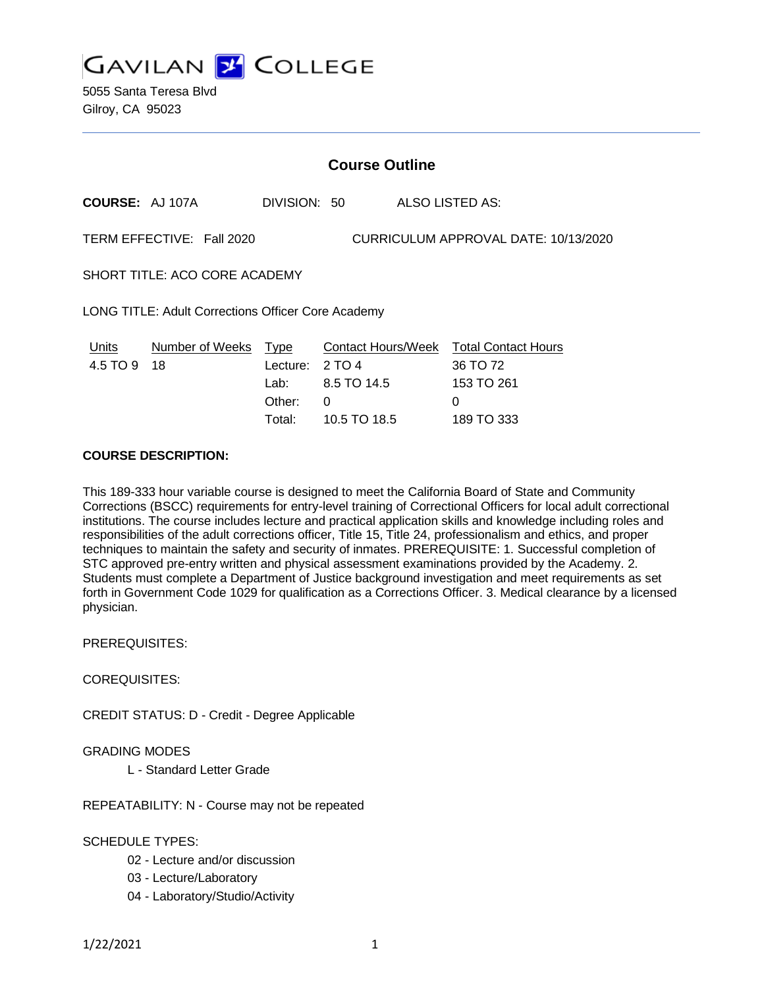

5055 Santa Teresa Blvd Gilroy, CA 95023

| <b>Course Outline</b>                                             |                               |                                             |                            |  |                                                                       |
|-------------------------------------------------------------------|-------------------------------|---------------------------------------------|----------------------------|--|-----------------------------------------------------------------------|
| <b>COURSE: AJ 107A</b>                                            |                               | DIVISION: 50                                |                            |  | ALSO LISTED AS:                                                       |
| TERM EFFECTIVE: Fall 2020<br>CURRICULUM APPROVAL DATE: 10/13/2020 |                               |                                             |                            |  |                                                                       |
| SHORT TITLE: ACO CORE ACADEMY                                     |                               |                                             |                            |  |                                                                       |
| LONG TITLE: Adult Corrections Officer Core Academy                |                               |                                             |                            |  |                                                                       |
| Units<br>4.5 TO 9                                                 | <b>Number of Weeks</b><br>-18 | <b>Type</b><br>Lecture:<br>Lab: L<br>Other: | 2 TO 4<br>8.5 TO 14.5<br>0 |  | Contact Hours/Week Total Contact Hours<br>36 TO 72<br>153 TO 261<br>0 |
|                                                                   |                               | Total:                                      | 10.5 TO 18.5               |  | 189 TO 333                                                            |

#### **COURSE DESCRIPTION:**

This 189-333 hour variable course is designed to meet the California Board of State and Community Corrections (BSCC) requirements for entry-level training of Correctional Officers for local adult correctional institutions. The course includes lecture and practical application skills and knowledge including roles and responsibilities of the adult corrections officer, Title 15, Title 24, professionalism and ethics, and proper techniques to maintain the safety and security of inmates. PREREQUISITE: 1. Successful completion of STC approved pre-entry written and physical assessment examinations provided by the Academy. 2. Students must complete a Department of Justice background investigation and meet requirements as set forth in Government Code 1029 for qualification as a Corrections Officer. 3. Medical clearance by a licensed physician.

PREREQUISITES:

COREQUISITES:

CREDIT STATUS: D - Credit - Degree Applicable

GRADING MODES

L - Standard Letter Grade

REPEATABILITY: N - Course may not be repeated

SCHEDULE TYPES:

- 02 Lecture and/or discussion
- 03 Lecture/Laboratory
- 04 Laboratory/Studio/Activity

1/22/2021 1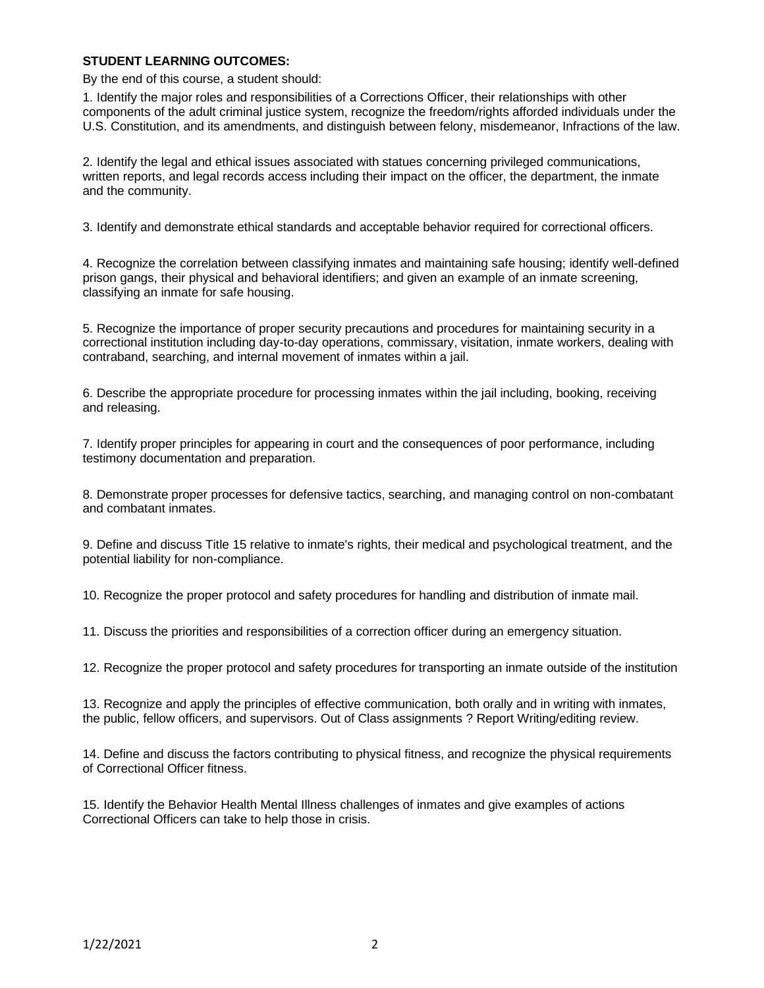### **STUDENT LEARNING OUTCOMES:**

By the end of this course, a student should:

1. Identify the major roles and responsibilities of a Corrections Officer, their relationships with other components of the adult criminal justice system, recognize the freedom/rights afforded individuals under the U.S. Constitution, and its amendments, and distinguish between felony, misdemeanor, Infractions of the law.

2. Identify the legal and ethical issues associated with statues concerning privileged communications, written reports, and legal records access including their impact on the officer, the department, the inmate and the community.

3. Identify and demonstrate ethical standards and acceptable behavior required for correctional officers.

4. Recognize the correlation between classifying inmates and maintaining safe housing; identify well-defined prison gangs, their physical and behavioral identifiers; and given an example of an inmate screening, classifying an inmate for safe housing.

5. Recognize the importance of proper security precautions and procedures for maintaining security in a correctional institution including day-to-day operations, commissary, visitation, inmate workers, dealing with contraband, searching, and internal movement of inmates within a jail.

6. Describe the appropriate procedure for processing inmates within the jail including, booking, receiving and releasing.

7. Identify proper principles for appearing in court and the consequences of poor performance, including testimony documentation and preparation.

8. Demonstrate proper processes for defensive tactics, searching, and managing control on non-combatant and combatant inmates.

9. Define and discuss Title 15 relative to inmate's rights, their medical and psychological treatment, and the potential liability for non-compliance.

10. Recognize the proper protocol and safety procedures for handling and distribution of inmate mail.

11. Discuss the priorities and responsibilities of a correction officer during an emergency situation.

12. Recognize the proper protocol and safety procedures for transporting an inmate outside of the institution

13. Recognize and apply the principles of effective communication, both orally and in writing with inmates, the public, fellow officers, and supervisors. Out of Class assignments ? Report Writing/editing review.

14. Define and discuss the factors contributing to physical fitness, and recognize the physical requirements of Correctional Officer fitness.

15. Identify the Behavior Health Mental Illness challenges of inmates and give examples of actions Correctional Officers can take to help those in crisis.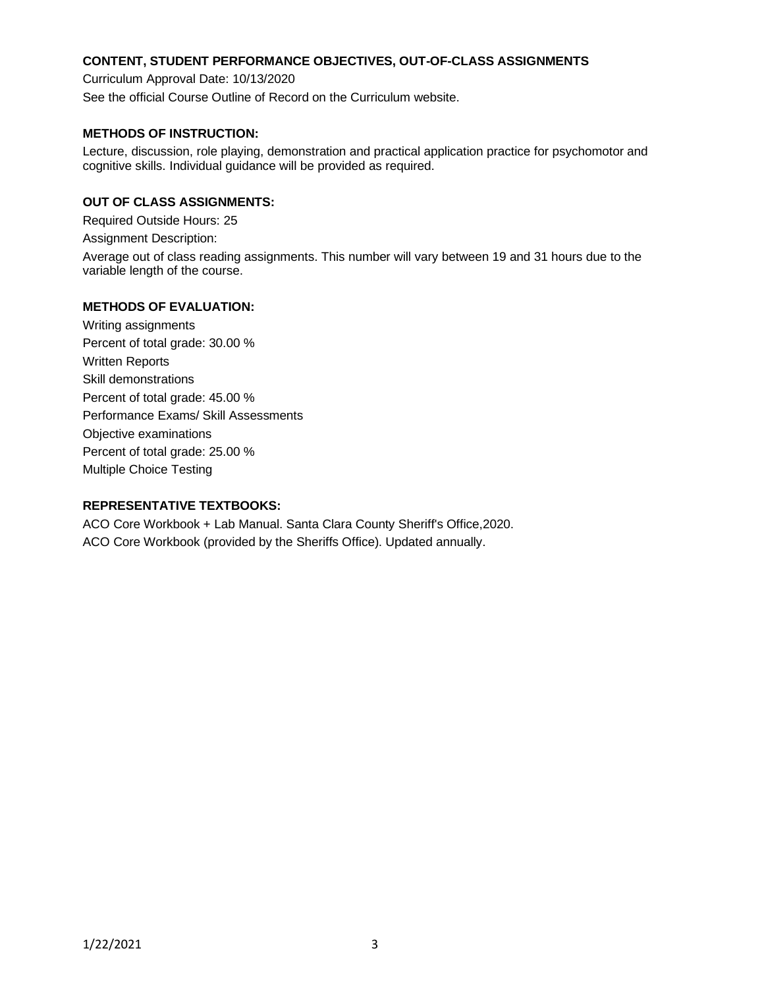# **CONTENT, STUDENT PERFORMANCE OBJECTIVES, OUT-OF-CLASS ASSIGNMENTS**

Curriculum Approval Date: 10/13/2020

See the official Course Outline of Record on the Curriculum website.

# **METHODS OF INSTRUCTION:**

Lecture, discussion, role playing, demonstration and practical application practice for psychomotor and cognitive skills. Individual guidance will be provided as required.

# **OUT OF CLASS ASSIGNMENTS:**

Required Outside Hours: 25

Assignment Description:

Average out of class reading assignments. This number will vary between 19 and 31 hours due to the variable length of the course.

## **METHODS OF EVALUATION:**

Writing assignments Percent of total grade: 30.00 % Written Reports Skill demonstrations Percent of total grade: 45.00 % Performance Exams/ Skill Assessments Objective examinations Percent of total grade: 25.00 % Multiple Choice Testing

# **REPRESENTATIVE TEXTBOOKS:**

ACO Core Workbook + Lab Manual. Santa Clara County Sheriff's Office,2020. ACO Core Workbook (provided by the Sheriffs Office). Updated annually.